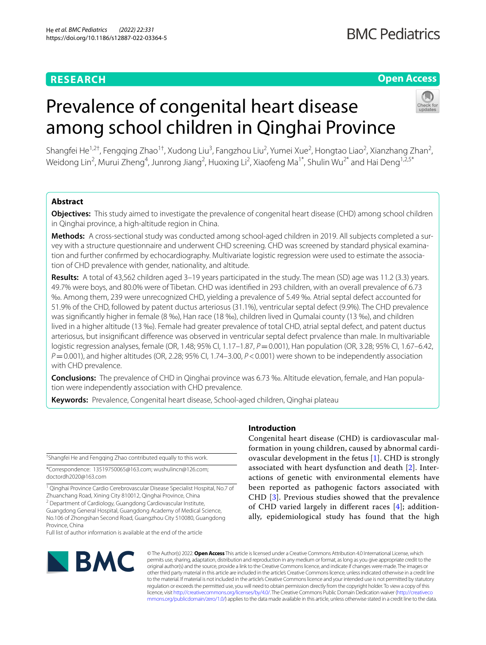### **RESEARCH**

#### **Open Access**

## Prevalence of congenital heart disease among school children in Qinghai Province

Shangfei He<sup>1,2†</sup>, Fengqing Zhao<sup>1†</sup>, Xudong Liu<sup>3</sup>, Fangzhou Liu<sup>2</sup>, Yumei Xue<sup>2</sup>, Hongtao Liao<sup>2</sup>, Xianzhang Zhan<sup>2</sup>, Weidong Lin<sup>2</sup>, Murui Zheng<sup>4</sup>, Junrong Jiang<sup>2</sup>, Huoxing Li<sup>2</sup>, Xiaofeng Ma<sup>1\*</sup>, Shulin Wu<sup>2\*</sup> and Hai Deng<sup>1,2,5\*</sup>

#### **Abstract**

**Objectives:** This study aimed to investigate the prevalence of congenital heart disease (CHD) among school children in Qinghai province, a high-altitude region in China.

**Methods:** A cross-sectional study was conducted among school-aged children in 2019. All subjects completed a survey with a structure questionnaire and underwent CHD screening. CHD was screened by standard physical examination and further confrmed by echocardiography. Multivariate logistic regression were used to estimate the association of CHD prevalence with gender, nationality, and altitude.

**Results:** A total of 43,562 children aged 3–19 years participated in the study. The mean (SD) age was 11.2 (3.3) years. 49.7% were boys, and 80.0% were of Tibetan. CHD was identifed in 293 children, with an overall prevalence of 6.73 ‰. Among them, 239 were unrecognized CHD, yielding a prevalence of 5.49 ‰. Atrial septal defect accounted for 51.9% of the CHD, followed by patent ductus arteriosus (31.1%), ventricular septal defect (9.9%). The CHD prevalence was signifcantly higher in female (8 ‰), Han race (18 ‰), children lived in Qumalai county (13 ‰), and children lived in a higher altitude (13 ‰). Female had greater prevalence of total CHD, atrial septal defect, and patent ductus arteriosus, but insignifcant diference was observed in ventricular septal defect prvalence than male. In multivariable logistic regression analyses, female (OR, 1.48; 95% CI, 1.17–1.87, *P*=0.001), Han population (OR, 3.28; 95% CI, 1.67–6.42, *P*=0.001), and higher altitudes (OR, 2.28; 95% CI, 1.74–3.00, *P*<0.001) were shown to be independently association with CHD prevalence.

**Conclusions:** The prevalence of CHD in Qinghai province was 6.73 ‰. Altitude elevation, female, and Han population were independently association with CHD prevalence.

**Keywords:** Prevalence, Congenital heart disease, School-aged children, Qinghai plateau

† Shangfei He and Fengqing Zhao contributed equally to this work.

\*Correspondence: 13519750065@163.com; wushulincn@126.com; doctordh2020@163.com

<sup>1</sup> Qinghai Province Cardio Cerebrovascular Disease Specialist Hospital, No.7 of Zhuanchang Road, Xining City 810012, Qinghai Province, China <sup>2</sup> Department of Cardiology, Guangdong Cardiovascular Institute,

Guangdong General Hospital, Guangdong Academy of Medical Science, No.106 of Zhongshan Second Road, Guangzhou City 510080, Guangdong Province, China

Full list of author information is available at the end of the article

# **BMC**

© The Author(s) 2022. **Open Access** This article is licensed under a Creative Commons Attribution 4.0 International License, which permits use, sharing, adaptation, distribution and reproduction in any medium or format, as long as you give appropriate credit to the original author(s) and the source, provide a link to the Creative Commons licence, and indicate if changes were made. The images or other third party material in this article are included in the article's Creative Commons licence, unless indicated otherwise in a credit line to the material. If material is not included in the article's Creative Commons licence and your intended use is not permitted by statutory regulation or exceeds the permitted use, you will need to obtain permission directly from the copyright holder. To view a copy of this licence, visit [http://creativecommons.org/licenses/by/4.0/.](http://creativecommons.org/licenses/by/4.0/) The Creative Commons Public Domain Dedication waiver ([http://creativeco](http://creativecommons.org/publicdomain/zero/1.0/) [mmons.org/publicdomain/zero/1.0/](http://creativecommons.org/publicdomain/zero/1.0/)) applies to the data made available in this article, unless otherwise stated in a credit line to the data.

#### **Introduction**

Congenital heart disease (CHD) is cardiovascular malformation in young children, caused by abnormal cardiovascular development in the fetus [\[1](#page-7-0)]. CHD is strongly associated with heart dysfunction and death [[2\]](#page-7-1). Interactions of genetic with environmental elements have been reported as pathogenic factors associated with CHD [[3\]](#page-7-2). Previous studies showed that the prevalence of CHD varied largely in diferent races [\[4](#page-7-3)]; additionally, epidemiological study has found that the high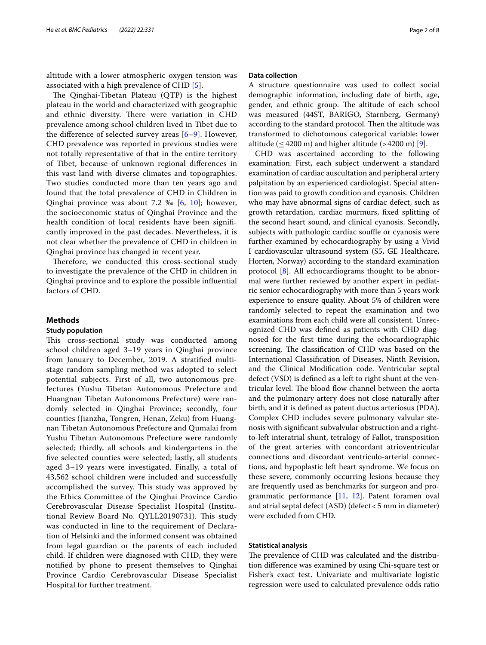altitude with a lower atmospheric oxygen tension was associated with a high prevalence of CHD [[5\]](#page-7-4).

The Qinghai-Tibetan Plateau  $(QTP)$  is the highest plateau in the world and characterized with geographic and ethnic diversity. There were variation in CHD prevalence among school children lived in Tibet due to the diference of selected survey areas [[6](#page-7-5)[–9](#page-7-6)]. However, CHD prevalence was reported in previous studies were not totally representative of that in the entire territory of Tibet, because of unknown regional diferences in this vast land with diverse climates and topographies. Two studies conducted more than ten years ago and found that the total prevalence of CHD in Children in Qinghai province was about 7.2 ‰ [[6,](#page-7-5) [10\]](#page-7-7); however, the socioeconomic status of Qinghai Province and the health condition of local residents have been signifcantly improved in the past decades. Nevertheless, it is not clear whether the prevalence of CHD in children in Qinghai province has changed in recent year.

Therefore, we conducted this cross-sectional study to investigate the prevalence of the CHD in children in Qinghai province and to explore the possible infuential factors of CHD.

#### **Methods**

#### **Study population**

This cross-sectional study was conducted among school children aged 3–19 years in Qinghai province from January to December, 2019. A stratifed multistage random sampling method was adopted to select potential subjects. First of all, two autonomous prefectures (Yushu Tibetan Autonomous Prefecture and Huangnan Tibetan Autonomous Prefecture) were randomly selected in Qinghai Province; secondly, four counties (Jianzha, Tongren, Henan, Zeku) from Huangnan Tibetan Autonomous Prefecture and Qumalai from Yushu Tibetan Autonomous Prefecture were randomly selected; thirdly, all schools and kindergartens in the fve selected counties were selected; lastly, all students aged 3–19 years were investigated. Finally, a total of 43,562 school children were included and successfully accomplished the survey. This study was approved by the Ethics Committee of the Qinghai Province Cardio Cerebrovascular Disease Specialist Hospital (Institutional Review Board No. QYLL20190731). This study was conducted in line to the requirement of Declaration of Helsinki and the informed consent was obtained from legal guardian or the parents of each included child. If children were diagnosed with CHD, they were notifed by phone to present themselves to Qinghai Province Cardio Cerebrovascular Disease Specialist Hospital for further treatment.

#### **Data collection**

A structure questionnaire was used to collect social demographic information, including date of birth, age, gender, and ethnic group. The altitude of each school was measured (44ST, BARIGO, Starnberg, Germany) according to the standard protocol. Then the altitude was transformed to dichotomous categorical variable: lower altitude  $( $4200 \text{ m}$ )$  and higher altitude  $( $4200 \text{ m}$ )$  [[9\]](#page-7-6).

CHD was ascertained according to the following examination. First, each subject underwent a standard examination of cardiac auscultation and peripheral artery palpitation by an experienced cardiologist. Special attention was paid to growth condition and cyanosis. Children who may have abnormal signs of cardiac defect, such as growth retardation, cardiac murmurs, fxed splitting of the second heart sound, and clinical cyanosis. Secondly, subjects with pathologic cardiac souffle or cyanosis were further examined by echocardiography by using a Vivid I cardiovascular ultrasound system (S5, GE Healthcare, Horten, Norway) according to the standard examination protocol [\[8](#page-7-8)]. All echocardiograms thought to be abnormal were further reviewed by another expert in pediatric senior echocardiography with more than 5 years work experience to ensure quality. About 5% of children were randomly selected to repeat the examination and two examinations from each child were all consistent. Unrecognized CHD was defned as patients with CHD diagnosed for the frst time during the echocardiographic screening. The classification of CHD was based on the International Classifcation of Diseases, Ninth Revision, and the Clinical Modifcation code. Ventricular septal defect (VSD) is defned as a left to right shunt at the ventricular level. The blood flow channel between the aorta and the pulmonary artery does not close naturally after birth, and it is defned as patent ductus arteriosus (PDA). Complex CHD includes severe pulmonary valvular stenosis with signifcant subvalvular obstruction and a rightto-left interatrial shunt, tetralogy of Fallot, transposition of the great arteries with concordant atrioventricular connections and discordant ventriculo-arterial connections, and hypoplastic left heart syndrome. We focus on these severe, commonly occurring lesions because they are frequently used as benchmarks for surgeon and programmatic performance [\[11](#page-7-9), [12](#page-7-10)]. Patent foramen oval and atrial septal defect (ASD) (defect<5 mm in diameter) were excluded from CHD.

#### **Statistical analysis**

The prevalence of CHD was calculated and the distribution diference was examined by using Chi-square test or Fisher's exact test. Univariate and multivariate logistic regression were used to calculated prevalence odds ratio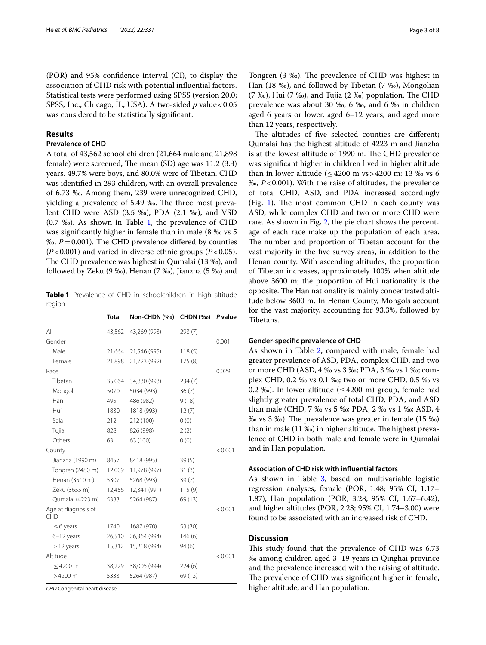(POR) and 95% confdence interval (CI), to display the association of CHD risk with potential infuential factors. Statistical tests were performed using SPSS (version 20.0; SPSS, Inc., Chicago, IL, USA). A two-sided *p* value < 0.05 was considered to be statistically signifcant.

#### **Results**

#### **Prevalence of CHD**

A total of 43,562 school children (21,664 male and 21,898 female) were screened, The mean (SD) age was 11.2 (3.3) years. 49.7% were boys, and 80.0% were of Tibetan. CHD was identifed in 293 children, with an overall prevalence of 6.73 ‰. Among them, 239 were unrecognized CHD, yielding a prevalence of 5.49 ‰. The three most prevalent CHD were ASD (3.5 ‰), PDA (2.1 ‰), and VSD  $(0.7 \text{ %})$ . As shown in Table [1,](#page-2-0) the prevalence of CHD was signifcantly higher in female than in male (8 ‰ vs 5  $\%$ ,  $P=0.001$ ). The CHD prevalence differed by counties (*P*<0.001) and varied in diverse ethnic groups (*P*<0.05). The CHD prevalence was highest in Qumalai (13 ‰), and followed by Zeku (9 ‰), Henan (7 ‰), Jianzha (5 ‰) and

<span id="page-2-0"></span>**Table 1** Prevalence of CHD in schoolchildren in high altitude region

|                                   | <b>Total</b> | Non-CHDN (‰) | <b>CHDN</b> (‰) | P value |
|-----------------------------------|--------------|--------------|-----------------|---------|
| All                               | 43,562       | 43,269 (993) | 293(7)          |         |
| Gender                            |              |              |                 | 0.001   |
| Male                              | 21,664       | 21,546 (995) | 118(5)          |         |
| Female                            | 21,898       | 21,723 (992) | 175(8)          |         |
| Race                              |              |              |                 | 0.029   |
| Tibetan                           | 35,064       | 34,830 (993) | 234(7)          |         |
| Mongol                            | 5070         | 5034 (993)   | 36(7)           |         |
| Han                               | 495          | 486 (982)    | 9(18)           |         |
| Hui                               | 1830         | 1818 (993)   | 12(7)           |         |
| Sala                              | 212          | 212 (100)    | 0(0)            |         |
| Tujia                             | 828          | 826 (998)    | 2(2)            |         |
| Others                            | 63           | 63 (100)     | 0(0)            |         |
| County                            |              |              |                 | < 0.001 |
| Jianzha (1990 m)                  | 8457         | 8418 (995)   | 39(5)           |         |
| Tongren (2480 m)                  | 12,009       | 11,978 (997) | 31(3)           |         |
| Henan (3510 m)                    | 5307         | 5268 (993)   | 39(7)           |         |
| Zeku (3655 m)                     | 12,456       | 12,341 (991) | 115(9)          |         |
| Qumalai (4223 m)                  | 5333         | 5264 (987)   | 69 (13)         |         |
| Age at diagnosis of<br><b>CHD</b> |              |              |                 | < 0.001 |
| $\leq$ 6 years                    | 1740         | 1687 (970)   | 53 (30)         |         |
| $6-12$ years                      | 26,510       | 26,364 (994) | 146(6)          |         |
| $>12$ years                       | 15,312       | 15,218 (994) | 94(6)           |         |
| Altitude                          |              |              |                 | < 0.001 |
| $\leq$ 4200 m                     | 38,229       | 38,005 (994) | 224(6)          |         |
| $>4200$ m                         | 5333         | 5264 (987)   | 69 (13)         |         |

*CHD* Congenital heart disease

Tongren (3 ‰). The prevalence of CHD was highest in Han (18 ‰), and followed by Tibetan (7 ‰), Mongolian  $(7 \text{ %})$ , Hui  $(7 \text{ %})$ , and Tujia  $(2 \text{ %})$  population. The CHD prevalence was about 30 ‰, 6 ‰, and 6 ‰ in children aged 6 years or lower, aged 6–12 years, and aged more than 12 years, respectively.

The altitudes of five selected counties are different; Qumalai has the highest altitude of 4223 m and Jianzha is at the lowest altitude of 1990 m. The CHD prevalence was signifcant higher in children lived in higher altitude than in lower altitude ( $\leq$ 4200 m vs > 4200 m: 13 ‰ vs 6 ‰, *P*<0.001). With the raise of altitudes, the prevalence of total CHD, ASD, and PDA increased accordingly (Fig. [1](#page-3-0)). The most common CHD in each county was ASD, while complex CHD and two or more CHD were rare. As shown in Fig**.** [2,](#page-4-0) the pie chart shows the percentage of each race make up the population of each area. The number and proportion of Tibetan account for the vast majority in the fve survey areas, in addition to the Henan county. With ascending altitudes, the proportion of Tibetan increases, approximately 100% when altitude above 3600 m; the proportion of Hui nationality is the opposite. The Han nationality is mainly concentrated altitude below 3600 m. In Henan County, Mongols account for the vast majority, accounting for 93.3%, followed by Tibetans.

#### **Gender‑specifc prevalence of CHD**

As shown in Table [2](#page-5-0), compared with male, female had greater prevalence of ASD, PDA, complex CHD, and two or more CHD (ASD, 4 ‰ vs 3 ‰; PDA, 3 ‰ vs 1 ‰; complex CHD, 0.2 ‰ vs 0.1 ‰; two or more CHD, 0.5 ‰ vs 0.2 ‰). In lower altitude ( $\leq$ 4200 m) group, female had slightly greater prevalence of total CHD, PDA, and ASD than male (CHD, 7 ‰ vs 5 ‰; PDA, 2 ‰ vs 1 ‰; ASD, 4 ‰ vs 3 ‰). The prevalence was greater in female (15 ‰) than in male  $(11 \text{ %})$  in higher altitude. The highest prevalence of CHD in both male and female were in Qumalai and in Han population.

#### **Association of CHD risk with infuential factors**

As shown in Table [3](#page-5-1), based on multivariable logistic regression analyses, female (POR, 1.48; 95% CI, 1.17– 1.87), Han population (POR, 3.28; 95% CI, 1.67–6.42), and higher altitudes (POR, 2.28; 95% CI, 1.74–3.00) were found to be associated with an increased risk of CHD.

#### **Discussion**

This study found that the prevalence of CHD was 6.73 ‰ among children aged 3–19 years in Qinghai province and the prevalence increased with the raising of altitude. The prevalence of CHD was significant higher in female, higher altitude, and Han population.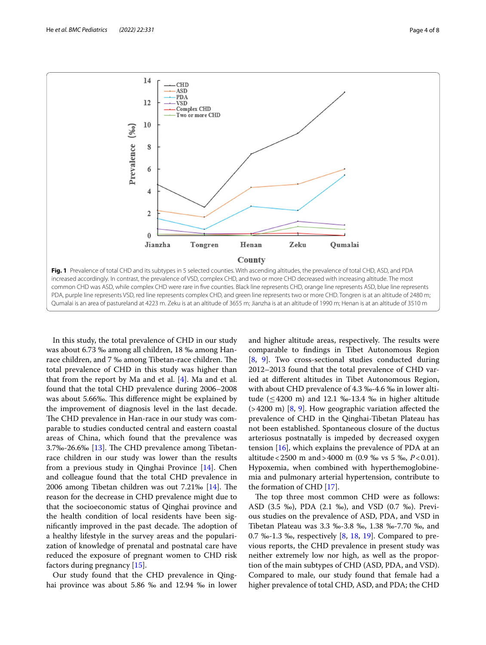

<span id="page-3-0"></span>In this study, the total prevalence of CHD in our study was about 6.73 ‰ among all children, 18 ‰ among Hanrace children, and 7 ‰ among Tibetan-race children. The total prevalence of CHD in this study was higher than that from the report by Ma and et al.  $[4]$  $[4]$ . Ma and et al. found that the total CHD prevalence during 2006–2008 was about 5.66‰. This difference might be explained by the improvement of diagnosis level in the last decade. The CHD prevalence in Han-race in our study was comparable to studies conducted central and eastern coastal areas of China, which found that the prevalence was 3.7‰-26.6‰ [[13](#page-7-11)]. The CHD prevalence among Tibetanrace children in our study was lower than the results from a previous study in Qinghai Province [[14\]](#page-7-12). Chen and colleague found that the total CHD prevalence in 2006 among Tibetan children was out  $7.21\%$  [\[14\]](#page-7-12). The reason for the decrease in CHD prevalence might due to that the socioeconomic status of Qinghai province and the health condition of local residents have been significantly improved in the past decade. The adoption of a healthy lifestyle in the survey areas and the popularization of knowledge of prenatal and postnatal care have reduced the exposure of pregnant women to CHD risk factors during pregnancy [[15\]](#page-7-13).

Our study found that the CHD prevalence in Qinghai province was about 5.86 ‰ and 12.94 ‰ in lower and higher altitude areas, respectively. The results were comparable to fndings in Tibet Autonomous Region [[8,](#page-7-8) [9\]](#page-7-6). Two cross-sectional studies conducted during 2012–2013 found that the total prevalence of CHD varied at diferent altitudes in Tibet Autonomous Region, with about CHD prevalence of 4.3 ‰-4.6 ‰ in lower altitude ( $\leq$  4200 m) and 12.1 ‰-13.4 ‰ in higher altitude (>4200 m) [\[8](#page-7-8), [9\]](#page-7-6). How geographic variation afected the prevalence of CHD in the Qinghai-Tibetan Plateau has not been established. Spontaneous closure of the ductus arteriosus postnatally is impeded by decreased oxygen tension  $[16]$  $[16]$ , which explains the prevalence of PDA at an altitude<2500 m and>4000 m (0.9 ‰ vs 5 ‰, *P*<0.01). Hypoxemia, when combined with hyperthemoglobinemia and pulmonary arterial hypertension, contribute to the formation of CHD [[17\]](#page-7-15).

The top three most common CHD were as follows: ASD (3.5 ‰), PDA (2.1 ‰), and VSD (0.7 ‰). Previous studies on the prevalence of ASD, PDA, and VSD in Tibetan Plateau was 3.3 ‰-3.8 ‰, 1.38 ‰-7.70 ‰, and 0.7 ‰-1.3 ‰, respectively [\[8](#page-7-8), [18](#page-7-16), [19\]](#page-7-17). Compared to previous reports, the CHD prevalence in present study was neither extremely low nor high, as well as the proportion of the main subtypes of CHD (ASD, PDA, and VSD). Compared to male, our study found that female had a higher prevalence of total CHD, ASD, and PDA; the CHD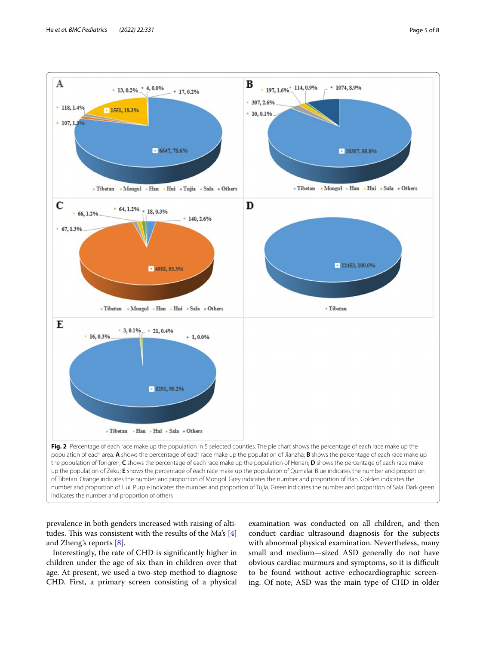

<span id="page-4-0"></span>prevalence in both genders increased with raising of altitudes. This was consistent with the results of the Ma's  $[4]$  $[4]$ and Zheng's reports  $[8]$  $[8]$ .

Interestingly, the rate of CHD is signifcantly higher in children under the age of six than in children over that age. At present, we used a two-step method to diagnose CHD. First, a primary screen consisting of a physical

examination was conducted on all children, and then conduct cardiac ultrasound diagnosis for the subjects with abnormal physical examination. Nevertheless, many small and medium—sized ASD generally do not have obvious cardiac murmurs and symptoms, so it is difficult to be found without active echocardiographic screening. Of note, ASD was the main type of CHD in older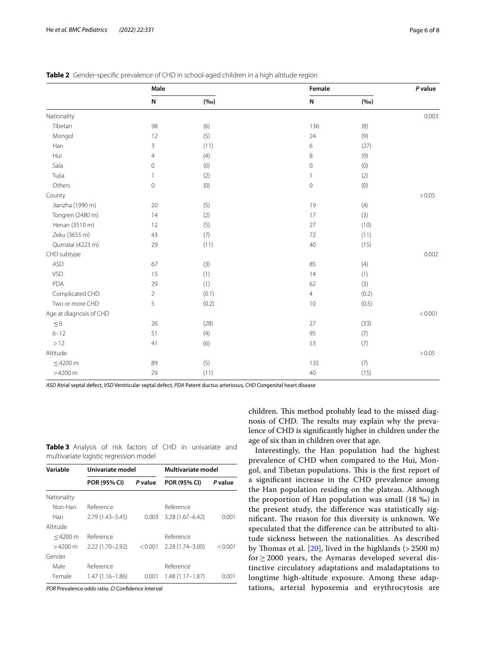|                  | Male     |      | Female | P value |        |
|------------------|----------|------|--------|---------|--------|
|                  | N        | (%o) | N      | (900)   |        |
| Nationality      |          |      |        |         | 0.003  |
| Tibetan          | 98       | (6)  | 136    | (8)     |        |
| Mongol           | 12       | (5)  | 24     | (9)     |        |
| Han              | 3        | (11) | 6      | (27)    |        |
| Hui              | 4        | (4)  | 8      | (9)     |        |
| Sala             | $\Omega$ | (0)  | 0      | (0)     |        |
| Tujia            |          | (2)  |        | (2)     |        |
| Others           | 0        | (0)  | 0      | (0)     |        |
| County           |          |      |        |         | > 0.05 |
| Jianzha (1990 m) | 20       | (5)  | 19     | (4)     |        |

<span id="page-5-0"></span>

|  | Table 2 Gender-specific prevalence of CHD in school-aged children in a high altitude region |  |  |  |  |
|--|---------------------------------------------------------------------------------------------|--|--|--|--|
|--|---------------------------------------------------------------------------------------------|--|--|--|--|

Tongren (2480 m) 14 (2) 17 (3) Henan (3510 m) 12 (5) (5) 27 (10) Zeku (3655 m) 43 (7) 72 (11) Qumalai (4223 m) 29 (11) 40 (15)

ASD 67 (3) 85 (4) VSD 15 (1) 14 (1) PDA 29 (1) 62 (3) Complicated CHD 2 (0.1) 4 (0.2)  $Two\,or\,more\,CHD$   $5$   $(0.2)$   $10$   $(0.5)$ 

 $\leq$  6 26 26 (28) 27 27 (33) 6–12 51 (4) 95 (7)  $>12$  (1) 41 (6) 63 (7)

 $\leq$ 4200 m 89 (5) 135 (7)  $>4200 \text{ m}$  (15)  $29$  (11)  $40$  (15)

CHD subtype 0.002

Age at diagnosis of CHD  $<$  0.001

Altitude >0.05

*ASD* Atrial septal defect, *VSD* Ventricular septal defect, *PDA* Patent ductus arteriosus, *CHD* Congenital heart disease

<span id="page-5-1"></span>

|                                        |  |  |  | Table 3 Analysis of risk factors of CHD in univariate and |  |
|----------------------------------------|--|--|--|-----------------------------------------------------------|--|
| multivariate logistic regression model |  |  |  |                                                           |  |

| Variable          | Univariate model    |         | Multivariate model  |         |  |
|-------------------|---------------------|---------|---------------------|---------|--|
|                   | POR (95% CI)        | P value | POR (95% CI)        | P value |  |
| Nationality       |                     |         |                     |         |  |
| Non-Han           | Reference           |         | Reference           |         |  |
| Han               | $2.79(1.43 - 5.45)$ | 0.003   | $3.28(1.67 - 6.42)$ | 0.001   |  |
| Altitude          |                     |         |                     |         |  |
| $<$ 4200 m        | Reference           |         | Reference           |         |  |
| $>4200 \text{ m}$ | $2.22(1.70 - 2.92)$ | < 0.001 | $2.28(1.74 - 3.00)$ | < 0.001 |  |
| Gender            |                     |         |                     |         |  |
| Male              | Reference           |         | Reference           |         |  |
| Female            | 1.47 (1.16–1.86)    | 0.001   | $1.48(1.17 - 1.87)$ | O OO 1  |  |

*POR* Prevalence odds ratio, *CI* Confdence interval

children. This method probably lead to the missed diagnosis of CHD. The results may explain why the prevalence of CHD is signifcantly higher in children under the age of six than in children over that age.

Interestingly, the Han population had the highest prevalence of CHD when compared to the Hui, Mongol, and Tibetan populations. This is the first report of a signifcant increase in the CHD prevalence among the Han population residing on the plateau. Although the proportion of Han population was small (18 ‰) in the present study, the diference was statistically significant. The reason for this diversity is unknown. We speculated that the diference can be attributed to altitude sickness between the nationalities. As described by Thomas et al.  $[20]$ , lived in the highlands (> 2500 m) for  $\geq$  2000 years, the Aymaras developed several distinctive circulatory adaptations and maladaptations to longtime high-altitude exposure. Among these adaptations, arterial hypoxemia and erythrocytosis are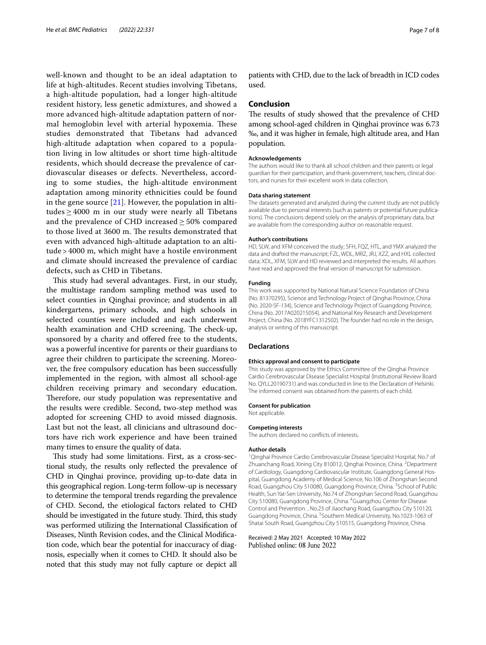well-known and thought to be an ideal adaptation to life at high-altitudes. Recent studies involving Tibetans, a high-altitude population, had a longer high-altitude resident history, less genetic admixtures, and showed a more advanced high-altitude adaptation pattern of normal hemoglobin level with arterial hypoxemia. These studies demonstrated that Tibetans had advanced high-altitude adaptation when copared to a population living in low altitudes or short time high-altitude residents, which should decrease the prevalence of cardiovascular diseases or defects. Nevertheless, according to some studies, the high-altitude environment adaptation among minority ethnicities could be found in the gene source  $[21]$  $[21]$ . However, the population in altitudes  $\geq 4000$  m in our study were nearly all Tibetans and the prevalence of CHD increased  $\geq$  50% compared to those lived at 3600 m. The results demonstrated that even with advanced high-altitude adaptation to an altitude > 4000 m, which might have a hostile environment and climate should increased the prevalence of cardiac defects, such as CHD in Tibetans.

This study had several advantages. First, in our study, the multistage random sampling method was used to select counties in Qinghai province; and students in all kindergartens, primary schools, and high schools in selected counties were included and each underwent health examination and CHD screening. The check-up, sponsored by a charity and offered free to the students, was a powerful incentive for parents or their guardians to agree their children to participate the screening. Moreover, the free compulsory education has been successfully implemented in the region, with almost all school-age children receiving primary and secondary education. Therefore, our study population was representative and the results were credible. Second, two-step method was adopted for screening CHD to avoid missed diagnosis. Last but not the least, all clinicians and ultrasound doctors have rich work experience and have been trained many times to ensure the quality of data.

This study had some limitations. First, as a cross-sectional study, the results only refected the prevalence of CHD in Qinghai province, providing up-to-date data in this geographical region. Long-term follow-up is necessary to determine the temporal trends regarding the prevalence of CHD. Second, the etiological factors related to CHD should be investigated in the future study. Third, this study was performed utilizing the International Classifcation of Diseases, Ninth Revision codes, and the Clinical Modifcation code, which bear the potential for inaccuracy of diagnosis, especially when it comes to CHD. It should also be noted that this study may not fully capture or depict all

patients with CHD, due to the lack of breadth in ICD codes used.

#### **Conclusion**

The results of study showed that the prevalence of CHD among school-aged children in Qinghai province was 6.73 ‰, and it was higher in female, high altitude area, and Han population.

#### **Acknowledgements**

The authors would like to thank all school children and their parents or legal guardian for their participation, and thank government, teachers, clinical doctors, and nurses for their excellent work in data collection.

#### **Data sharing statement**

The datasets generated and analyzed during the current study are not publicly available due to personal interests (such as patents or potential future publications). The conclusions depend solely on the analysis of proprietary data, but are available from the corresponding author on reasonable request.

#### **Author's contributions**

HD, SLW, and XFM conceived the study; SFH, FQZ, HTL, and YMX analyzed the data and drafted the manuscript; FZL, WDL, MRZ, JRJ, XZZ, and HXL collected data; XDL, XFM, SLW and HD reviewed and interpreted the results. All authors have read and approved the fnal version of manuscript for submission.

#### **Funding**

This work was supported by National Natural Science Foundation of China (No. 81370295), Science and Technology Project of Qinghai Province, China (No. 2020-SF-134), Science and Technology Project of Guangdong Province, China (No. 2017A020215054), and National Key Research and Development Project, China (No. 2018YFC1312502). The founder had no role in the design, analysis or writing of this manuscript.

#### **Declarations**

#### **Ethics approval and consent to participate**

This study was approved by the Ethics Committee of the Qinghai Province Cardio Cerebrovascular Disease Specialist Hospital (Institutional Review Board No. QYLL20190731) and was conducted in line to the Declaration of Helsinki. The informed consent was obtained from the parents of each child.

#### **Consent for publication**

Not applicable.

#### **Competing interests**

The authors declared no conficts of interests.

#### **Author details**

<sup>1</sup> Qinghai Province Cardio Cerebrovascular Disease Specialist Hospital, No.7 of Zhuanchang Road, Xining City 810012, Qinghai Province, China. <sup>2</sup>Department of Cardiology, Guangdong Cardiovascular Institute, Guangdong General Hospital, Guangdong Academy of Medical Science, No.106 of Zhongshan Second Road, Guangzhou City 510080, Guangdong Province, China. <sup>3</sup>School of Public Health, Sun Yat-Sen University, No.74 of Zhongshan Second Road, Guangzhou City 510080, Guangdong Province, China. <sup>4</sup>Guangzhou Center for Disease Control and Prevention. , No.23 of Jiaochang Road, Guangzhou City 510120, Guangdong Province, China. <sup>5</sup> Southern Medical University, No.1023-1063 of Shatai South Road, Guangzhou City 510515, Guangdong Province, China.

Received: 2 May 2021 Accepted: 10 May 2022Published online: 08 June 2022